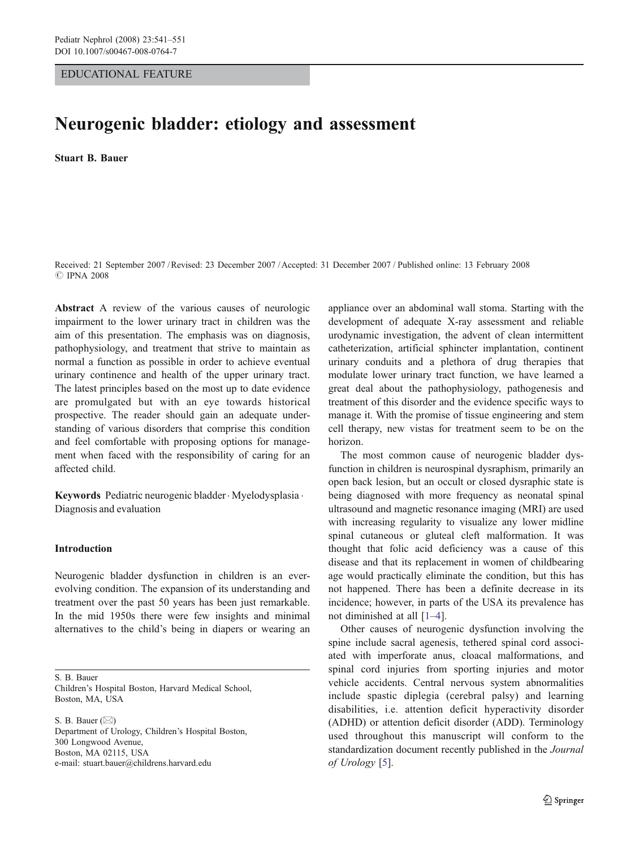# EDUCATIONAL FEATURE

# Neurogenic bladder: etiology and assessment

## Stuart B. Bauer

Received: 21 September 2007 /Revised: 23 December 2007 /Accepted: 31 December 2007 / Published online: 13 February 2008 *#* IPNA 2008

Abstract A review of the various causes of neurologic impairment to the lower urinary tract in children was the aim of this presentation. The emphasis was on diagnosis, pathophysiology, and treatment that strive to maintain as normal a function as possible in order to achieve eventual urinary continence and health of the upper urinary tract. The latest principles based on the most up to date evidence are promulgated but with an eye towards historical prospective. The reader should gain an adequate understanding of various disorders that comprise this condition and feel comfortable with proposing options for management when faced with the responsibility of caring for an affected child.

Keywords Pediatric neurogenic bladder. Myelodysplasia . Diagnosis and evaluation

## Introduction

Neurogenic bladder dysfunction in children is an everevolving condition. The expansion of its understanding and treatment over the past 50 years has been just remarkable. In the mid 1950s there were few insights and minimal alternatives to the child's being in diapers or wearing an

S. B. Bauer Children's Hospital Boston, Harvard Medical School, Boston, MA, USA

S. B. Bauer (*\**) Department of Urology, Children's Hospital Boston, 300 Longwood Avenue, Boston, MA 02115, USA e-mail: stuart.bauer@childrens.harvard.edu

appliance over an abdominal wall stoma. Starting with the development of adequate X-ray assessment and reliable urodynamic investigation, the advent of clean intermittent catheterization, artificial sphincter implantation, continent urinary conduits and a plethora of drug therapies that modulate lower urinary tract function, we have learned a great deal about the pathophysiology, pathogenesis and treatment of this disorder and the evidence specific ways to manage it. With the promise of tissue engineering and stem cell therapy, new vistas for treatment seem to be on the horizon.

The most common cause of neurogenic bladder dysfunction in children is neurospinal dysraphism, primarily an open back lesion, but an occult or closed dysraphic state is being diagnosed with more frequency as neonatal spinal ultrasound and magnetic resonance imaging (MRI) are used with increasing regularity to visualize any lower midline spinal cutaneous or gluteal cleft malformation. It was thought that folic acid deficiency was a cause of this disease and that its replacement in women of childbearing age would practically eliminate the condition, but this has not happened. There has been a definite decrease in its incidence; however, in parts of the USA its prevalence has not diminished at all [\[1](#page-8-0)–[4](#page-8-0)].

Other causes of neurogenic dysfunction involving the spine include sacral agenesis, tethered spinal cord associated with imperforate anus, cloacal malformations, and spinal cord injuries from sporting injuries and motor vehicle accidents. Central nervous system abnormalities include spastic diplegia (cerebral palsy) and learning disabilities, i.e. attention deficit hyperactivity disorder (ADHD) or attention deficit disorder (ADD). Terminology used throughout this manuscript will conform to the standardization document recently published in the Journal of Urology [\[5](#page-8-0)].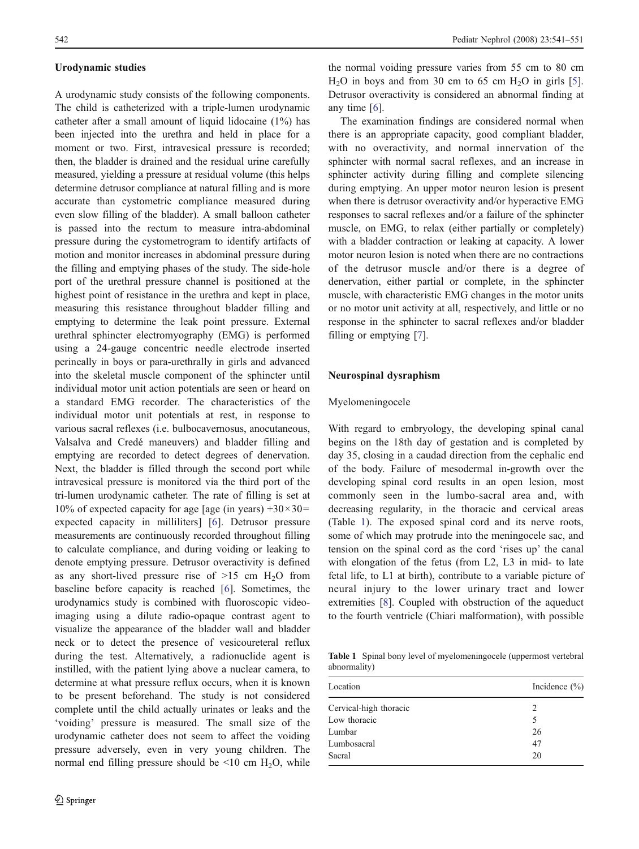## Urodynamic studies

A urodynamic study consists of the following components. The child is catheterized with a triple-lumen urodynamic catheter after a small amount of liquid lidocaine (1%) has been injected into the urethra and held in place for a moment or two. First, intravesical pressure is recorded; then, the bladder is drained and the residual urine carefully measured, yielding a pressure at residual volume (this helps determine detrusor compliance at natural filling and is more accurate than cystometric compliance measured during even slow filling of the bladder). A small balloon catheter is passed into the rectum to measure intra-abdominal pressure during the cystometrogram to identify artifacts of motion and monitor increases in abdominal pressure during the filling and emptying phases of the study. The side-hole port of the urethral pressure channel is positioned at the highest point of resistance in the urethra and kept in place, measuring this resistance throughout bladder filling and emptying to determine the leak point pressure. External urethral sphincter electromyography (EMG) is performed using a 24-gauge concentric needle electrode inserted perineally in boys or para-urethrally in girls and advanced into the skeletal muscle component of the sphincter until individual motor unit action potentials are seen or heard on a standard EMG recorder. The characteristics of the individual motor unit potentials at rest, in response to various sacral reflexes (i.e. bulbocavernosus, anocutaneous, Valsalva and Credé maneuvers) and bladder filling and emptying are recorded to detect degrees of denervation. Next, the bladder is filled through the second port while intravesical pressure is monitored via the third port of the tri-lumen urodynamic catheter. The rate of filling is set at 10% of expected capacity for age [age (in years)  $+30\times30=$ expected capacity in milliliters] [[6\]](#page-8-0). Detrusor pressure measurements are continuously recorded throughout filling to calculate compliance, and during voiding or leaking to denote emptying pressure. Detrusor overactivity is defined as any short-lived pressure rise of  $>15$  cm  $H<sub>2</sub>O$  from baseline before capacity is reached [\[6](#page-8-0)]. Sometimes, the urodynamics study is combined with fluoroscopic videoimaging using a dilute radio-opaque contrast agent to visualize the appearance of the bladder wall and bladder neck or to detect the presence of vesicoureteral reflux during the test. Alternatively, a radionuclide agent is instilled, with the patient lying above a nuclear camera, to determine at what pressure reflux occurs, when it is known to be present beforehand. The study is not considered complete until the child actually urinates or leaks and the 'voiding' pressure is measured. The small size of the urodynamic catheter does not seem to affect the voiding pressure adversely, even in very young children. The normal end filling pressure should be  $\leq 10$  cm H<sub>2</sub>O, while

the normal voiding pressure varies from 55 cm to 80 cm  $H<sub>2</sub>O$  in boys and from 30 cm to 65 cm  $H<sub>2</sub>O$  in girls [[5\]](#page-8-0). Detrusor overactivity is considered an abnormal finding at any time [[6\]](#page-8-0).

The examination findings are considered normal when there is an appropriate capacity, good compliant bladder, with no overactivity, and normal innervation of the sphincter with normal sacral reflexes, and an increase in sphincter activity during filling and complete silencing during emptying. An upper motor neuron lesion is present when there is detrusor overactivity and/or hyperactive EMG responses to sacral reflexes and/or a failure of the sphincter muscle, on EMG, to relax (either partially or completely) with a bladder contraction or leaking at capacity. A lower motor neuron lesion is noted when there are no contractions of the detrusor muscle and/or there is a degree of denervation, either partial or complete, in the sphincter muscle, with characteristic EMG changes in the motor units or no motor unit activity at all, respectively, and little or no response in the sphincter to sacral reflexes and/or bladder filling or emptying [[7\]](#page-8-0).

## Neurospinal dysraphism

# Myelomeningocele

With regard to embryology, the developing spinal canal begins on the 18th day of gestation and is completed by day 35, closing in a caudad direction from the cephalic end of the body. Failure of mesodermal in-growth over the developing spinal cord results in an open lesion, most commonly seen in the lumbo-sacral area and, with decreasing regularity, in the thoracic and cervical areas (Table 1). The exposed spinal cord and its nerve roots, some of which may protrude into the meningocele sac, and tension on the spinal cord as the cord 'rises up' the canal with elongation of the fetus (from L2, L3 in mid- to late fetal life, to L1 at birth), contribute to a variable picture of neural injury to the lower urinary tract and lower extremities [\[8](#page-8-0)]. Coupled with obstruction of the aqueduct to the fourth ventricle (Chiari malformation), with possible

Table 1 Spinal bony level of myelomeningocele (uppermost vertebral abnormality)

| Location               | Incidence $(\% )$ |
|------------------------|-------------------|
| Cervical-high thoracic | 2                 |
| Low thoracic           | 5                 |
| Lumbar                 | 26                |
| Lumbosacral            | 47                |
| Sacral                 | 20                |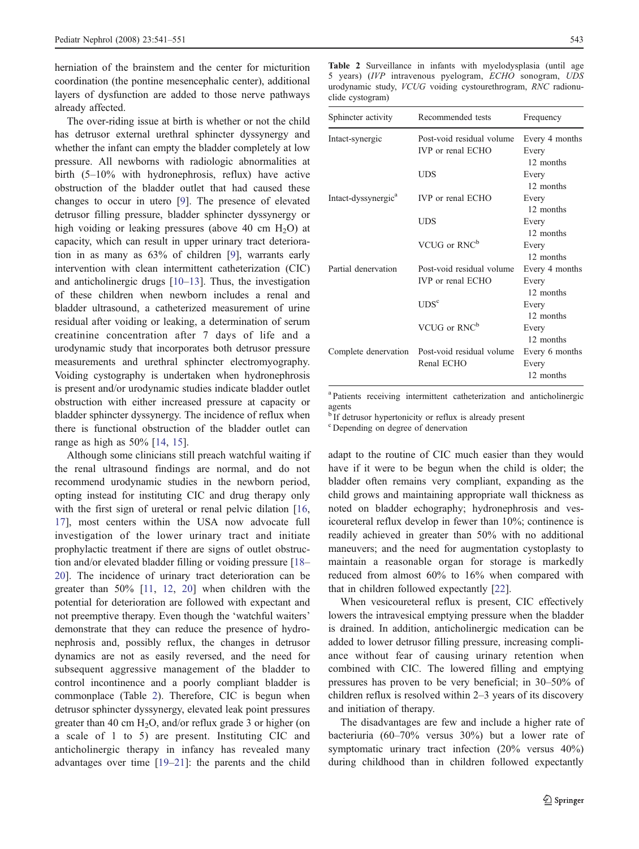herniation of the brainstem and the center for micturition coordination (the pontine mesencephalic center), additional layers of dysfunction are added to those nerve pathways already affected.

The over-riding issue at birth is whether or not the child has detrusor external urethral sphincter dyssynergy and whether the infant can empty the bladder completely at low pressure. All newborns with radiologic abnormalities at birth (5–10% with hydronephrosis, reflux) have active obstruction of the bladder outlet that had caused these changes to occur in utero [\[9](#page-8-0)]. The presence of elevated detrusor filling pressure, bladder sphincter dyssynergy or high voiding or leaking pressures (above 40 cm  $H_2O$ ) at capacity, which can result in upper urinary tract deterioration in as many as 63% of children [[9\]](#page-8-0), warrants early intervention with clean intermittent catheterization (CIC) and anticholinergic drugs [\[10](#page-8-0)–[13](#page-8-0)]. Thus, the investigation of these children when newborn includes a renal and bladder ultrasound, a catheterized measurement of urine residual after voiding or leaking, a determination of serum creatinine concentration after 7 days of life and a urodynamic study that incorporates both detrusor pressure measurements and urethral sphincter electromyography. Voiding cystography is undertaken when hydronephrosis is present and/or urodynamic studies indicate bladder outlet obstruction with either increased pressure at capacity or bladder sphincter dyssynergy. The incidence of reflux when there is functional obstruction of the bladder outlet can range as high as 50% [[14,](#page-8-0) [15\]](#page-8-0).

Although some clinicians still preach watchful waiting if the renal ultrasound findings are normal, and do not recommend urodynamic studies in the newborn period, opting instead for instituting CIC and drug therapy only with the first sign of ureteral or renal pelvic dilation [[16,](#page-8-0) [17](#page-8-0)], most centers within the USA now advocate full investigation of the lower urinary tract and initiate prophylactic treatment if there are signs of outlet obstruction and/or elevated bladder filling or voiding pressure [\[18](#page-8-0)– [20](#page-8-0)]. The incidence of urinary tract deterioration can be greater than 50% [[11](#page-8-0), [12,](#page-8-0) [20\]](#page-8-0) when children with the potential for deterioration are followed with expectant and not preemptive therapy. Even though the 'watchful waiters' demonstrate that they can reduce the presence of hydronephrosis and, possibly reflux, the changes in detrusor dynamics are not as easily reversed, and the need for subsequent aggressive management of the bladder to control incontinence and a poorly compliant bladder is commonplace (Table 2). Therefore, CIC is begun when detrusor sphincter dyssynergy, elevated leak point pressures greater than 40 cm  $H_2O$ , and/or reflux grade 3 or higher (on a scale of 1 to 5) are present. Instituting CIC and anticholinergic therapy in infancy has revealed many advantages over time [[19](#page-8-0)–[21\]](#page-9-0): the parents and the child

Table 2 Surveillance in infants with myelodysplasia (until age 5 years) (IVP intravenous pyelogram, ECHO sonogram, UDS urodynamic study, VCUG voiding cystourethrogram, RNC radionuclide cystogram)

| Sphincter activity              | Recommended tests                              | Frequency      |
|---------------------------------|------------------------------------------------|----------------|
| Intact-synergic                 | Post-void residual volume                      | Every 4 months |
|                                 | <b>IVP</b> or renal ECHO                       | Every          |
|                                 |                                                | 12 months      |
|                                 | UDS                                            | Every          |
|                                 |                                                | 12 months      |
| Intact-dyssynergic <sup>a</sup> | <b>IVP</b> or renal ECHO                       | Every          |
|                                 |                                                | 12 months      |
|                                 | UDS                                            | Every          |
|                                 |                                                | 12 months      |
|                                 | VCUG or RNC <sup>b</sup>                       | Every          |
|                                 |                                                | 12 months      |
| Partial denervation             | Post-void residual volume                      | Every 4 months |
|                                 | <b>IVP</b> or renal ECHO                       | Every          |
|                                 |                                                | 12 months      |
|                                 | $_{\rm UDS^c}$                                 | Every          |
|                                 |                                                | 12 months      |
|                                 | VCUG or RNC <sup>b</sup>                       | Every          |
|                                 |                                                | 12 months      |
|                                 | Complete denervation Post-void residual volume | Every 6 months |
|                                 | Renal ECHO                                     | Every          |
|                                 |                                                | 12 months      |

<sup>a</sup> Patients receiving intermittent catheterization and anticholinergic agents

<sup>b</sup> If detrusor hypertonicity or reflux is already present

c Depending on degree of denervation

adapt to the routine of CIC much easier than they would have if it were to be begun when the child is older; the bladder often remains very compliant, expanding as the child grows and maintaining appropriate wall thickness as noted on bladder echography; hydronephrosis and vesicoureteral reflux develop in fewer than 10%; continence is readily achieved in greater than 50% with no additional maneuvers; and the need for augmentation cystoplasty to maintain a reasonable organ for storage is markedly reduced from almost 60% to 16% when compared with that in children followed expectantly [\[22](#page-9-0)].

When vesicoureteral reflux is present, CIC effectively lowers the intravesical emptying pressure when the bladder is drained. In addition, anticholinergic medication can be added to lower detrusor filling pressure, increasing compliance without fear of causing urinary retention when combined with CIC. The lowered filling and emptying pressures has proven to be very beneficial; in 30–50% of children reflux is resolved within 2–3 years of its discovery and initiation of therapy.

The disadvantages are few and include a higher rate of bacteriuria (60–70% versus 30%) but a lower rate of symptomatic urinary tract infection (20% versus 40%) during childhood than in children followed expectantly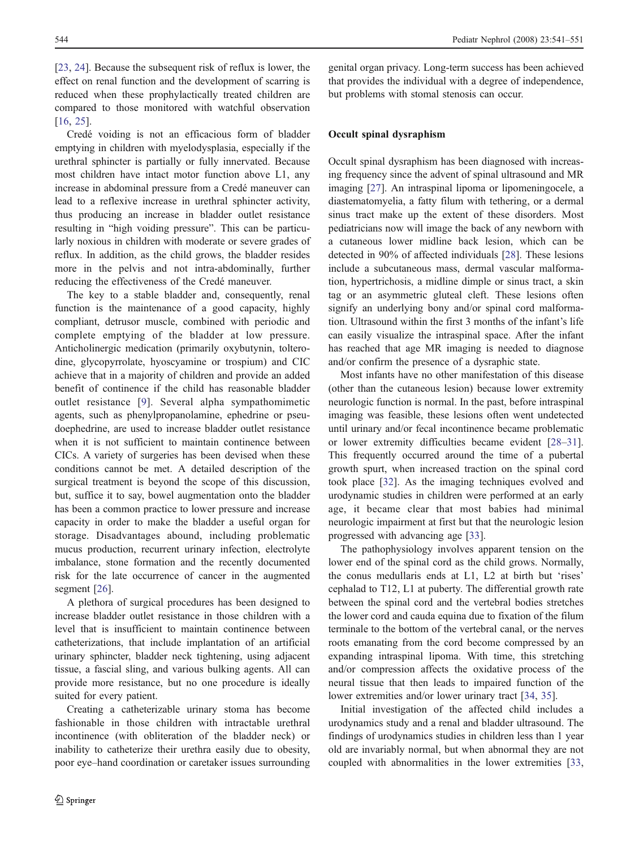[\[23](#page-9-0), [24](#page-9-0)]. Because the subsequent risk of reflux is lower, the effect on renal function and the development of scarring is reduced when these prophylactically treated children are compared to those monitored with watchful observation [\[16](#page-8-0), [25\]](#page-9-0).

Credé voiding is not an efficacious form of bladder emptying in children with myelodysplasia, especially if the urethral sphincter is partially or fully innervated. Because most children have intact motor function above L1, any increase in abdominal pressure from a Credé maneuver can lead to a reflexive increase in urethral sphincter activity, thus producing an increase in bladder outlet resistance resulting in "high voiding pressure". This can be particularly noxious in children with moderate or severe grades of reflux. In addition, as the child grows, the bladder resides more in the pelvis and not intra-abdominally, further reducing the effectiveness of the Credé maneuver.

The key to a stable bladder and, consequently, renal function is the maintenance of a good capacity, highly compliant, detrusor muscle, combined with periodic and complete emptying of the bladder at low pressure. Anticholinergic medication (primarily oxybutynin, tolterodine, glycopyrrolate, hyoscyamine or trospium) and CIC achieve that in a majority of children and provide an added benefit of continence if the child has reasonable bladder outlet resistance [[9\]](#page-8-0). Several alpha sympathomimetic agents, such as phenylpropanolamine, ephedrine or pseudoephedrine, are used to increase bladder outlet resistance when it is not sufficient to maintain continence between CICs. A variety of surgeries has been devised when these conditions cannot be met. A detailed description of the surgical treatment is beyond the scope of this discussion, but, suffice it to say, bowel augmentation onto the bladder has been a common practice to lower pressure and increase capacity in order to make the bladder a useful organ for storage. Disadvantages abound, including problematic mucus production, recurrent urinary infection, electrolyte imbalance, stone formation and the recently documented risk for the late occurrence of cancer in the augmented segment [\[26](#page-9-0)].

A plethora of surgical procedures has been designed to increase bladder outlet resistance in those children with a level that is insufficient to maintain continence between catheterizations, that include implantation of an artificial urinary sphincter, bladder neck tightening, using adjacent tissue, a fascial sling, and various bulking agents. All can provide more resistance, but no one procedure is ideally suited for every patient.

Creating a catheterizable urinary stoma has become fashionable in those children with intractable urethral incontinence (with obliteration of the bladder neck) or inability to catheterize their urethra easily due to obesity, poor eye–hand coordination or caretaker issues surrounding genital organ privacy. Long-term success has been achieved that provides the individual with a degree of independence, but problems with stomal stenosis can occur.

## Occult spinal dysraphism

Occult spinal dysraphism has been diagnosed with increasing frequency since the advent of spinal ultrasound and MR imaging [\[27](#page-9-0)]. An intraspinal lipoma or lipomeningocele, a diastematomyelia, a fatty filum with tethering, or a dermal sinus tract make up the extent of these disorders. Most pediatricians now will image the back of any newborn with a cutaneous lower midline back lesion, which can be detected in 90% of affected individuals [\[28](#page-9-0)]. These lesions include a subcutaneous mass, dermal vascular malformation, hypertrichosis, a midline dimple or sinus tract, a skin tag or an asymmetric gluteal cleft. These lesions often signify an underlying bony and/or spinal cord malformation. Ultrasound within the first 3 months of the infant's life can easily visualize the intraspinal space. After the infant has reached that age MR imaging is needed to diagnose and/or confirm the presence of a dysraphic state.

Most infants have no other manifestation of this disease (other than the cutaneous lesion) because lower extremity neurologic function is normal. In the past, before intraspinal imaging was feasible, these lesions often went undetected until urinary and/or fecal incontinence became problematic or lower extremity difficulties became evident [[28](#page-9-0)–[31\]](#page-9-0). This frequently occurred around the time of a pubertal growth spurt, when increased traction on the spinal cord took place [\[32](#page-9-0)]. As the imaging techniques evolved and urodynamic studies in children were performed at an early age, it became clear that most babies had minimal neurologic impairment at first but that the neurologic lesion progressed with advancing age [\[33](#page-9-0)].

The pathophysiology involves apparent tension on the lower end of the spinal cord as the child grows. Normally, the conus medullaris ends at L1, L2 at birth but 'rises' cephalad to T12, L1 at puberty. The differential growth rate between the spinal cord and the vertebral bodies stretches the lower cord and cauda equina due to fixation of the filum terminale to the bottom of the vertebral canal, or the nerves roots emanating from the cord become compressed by an expanding intraspinal lipoma. With time, this stretching and/or compression affects the oxidative process of the neural tissue that then leads to impaired function of the lower extremities and/or lower urinary tract [[34,](#page-9-0) [35\]](#page-9-0).

Initial investigation of the affected child includes a urodynamics study and a renal and bladder ultrasound. The findings of urodynamics studies in children less than 1 year old are invariably normal, but when abnormal they are not coupled with abnormalities in the lower extremities [[33,](#page-9-0)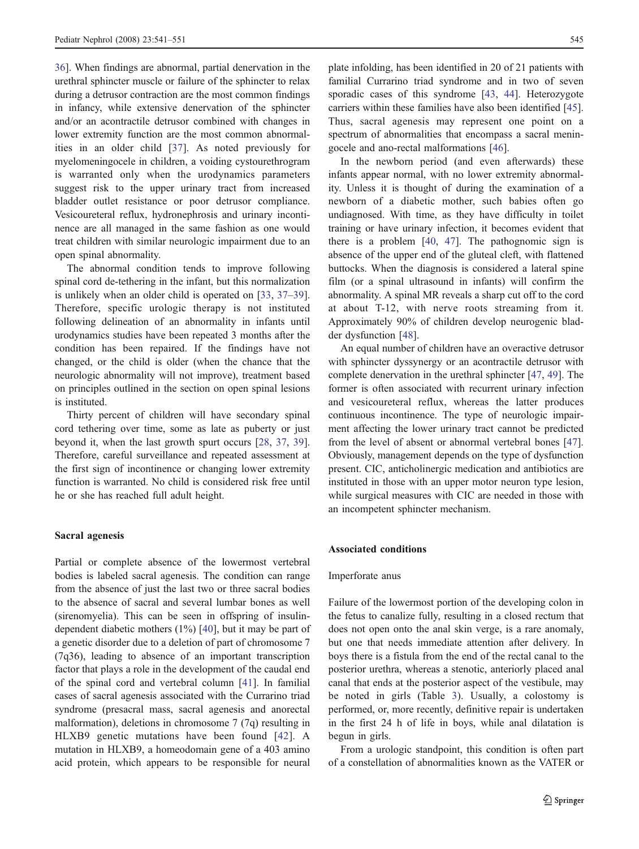[36](#page-9-0)]. When findings are abnormal, partial denervation in the urethral sphincter muscle or failure of the sphincter to relax during a detrusor contraction are the most common findings in infancy, while extensive denervation of the sphincter and/or an acontractile detrusor combined with changes in lower extremity function are the most common abnormalities in an older child [\[37\]](#page-9-0). As noted previously for myelomeningocele in children, a voiding cystourethrogram is warranted only when the urodynamics parameters suggest risk to the upper urinary tract from increased bladder outlet resistance or poor detrusor compliance. Vesicoureteral reflux, hydronephrosis and urinary incontinence are all managed in the same fashion as one would treat children with similar neurologic impairment due to an open spinal abnormality.

The abnormal condition tends to improve following spinal cord de-tethering in the infant, but this normalization is unlikely when an older child is operated on [[33,](#page-9-0) [37](#page-9-0)–[39](#page-9-0)]. Therefore, specific urologic therapy is not instituted following delineation of an abnormality in infants until urodynamics studies have been repeated 3 months after the condition has been repaired. If the findings have not changed, or the child is older (when the chance that the neurologic abnormality will not improve), treatment based on principles outlined in the section on open spinal lesions is instituted.

Thirty percent of children will have secondary spinal cord tethering over time, some as late as puberty or just beyond it, when the last growth spurt occurs [\[28](#page-9-0), [37](#page-9-0), [39](#page-9-0)]. Therefore, careful surveillance and repeated assessment at the first sign of incontinence or changing lower extremity function is warranted. No child is considered risk free until he or she has reached full adult height.

## Sacral agenesis

Partial or complete absence of the lowermost vertebral bodies is labeled sacral agenesis. The condition can range from the absence of just the last two or three sacral bodies to the absence of sacral and several lumbar bones as well (sirenomyelia). This can be seen in offspring of insulindependent diabetic mothers (1%) [[40\]](#page-9-0), but it may be part of a genetic disorder due to a deletion of part of chromosome 7 (7q36), leading to absence of an important transcription factor that plays a role in the development of the caudal end of the spinal cord and vertebral column [[41\]](#page-9-0). In familial cases of sacral agenesis associated with the Currarino triad syndrome (presacral mass, sacral agenesis and anorectal malformation), deletions in chromosome 7 (7q) resulting in HLXB9 genetic mutations have been found [[42](#page-9-0)]. A mutation in HLXB9, a homeodomain gene of a 403 amino acid protein, which appears to be responsible for neural

plate infolding, has been identified in 20 of 21 patients with familial Currarino triad syndrome and in two of seven sporadic cases of this syndrome [\[43](#page-9-0), [44\]](#page-9-0). Heterozygote carriers within these families have also been identified [[45\]](#page-9-0). Thus, sacral agenesis may represent one point on a spectrum of abnormalities that encompass a sacral meningocele and ano-rectal malformations [\[46](#page-9-0)].

In the newborn period (and even afterwards) these infants appear normal, with no lower extremity abnormality. Unless it is thought of during the examination of a newborn of a diabetic mother, such babies often go undiagnosed. With time, as they have difficulty in toilet training or have urinary infection, it becomes evident that there is a problem [\[40](#page-9-0), [47\]](#page-9-0). The pathognomic sign is absence of the upper end of the gluteal cleft, with flattened buttocks. When the diagnosis is considered a lateral spine film (or a spinal ultrasound in infants) will confirm the abnormality. A spinal MR reveals a sharp cut off to the cord at about T-12, with nerve roots streaming from it. Approximately 90% of children develop neurogenic bladder dysfunction [\[48](#page-9-0)].

An equal number of children have an overactive detrusor with sphincter dyssynergy or an acontractile detrusor with complete denervation in the urethral sphincter [\[47](#page-9-0), [49](#page-9-0)]. The former is often associated with recurrent urinary infection and vesicoureteral reflux, whereas the latter produces continuous incontinence. The type of neurologic impairment affecting the lower urinary tract cannot be predicted from the level of absent or abnormal vertebral bones [[47\]](#page-9-0). Obviously, management depends on the type of dysfunction present. CIC, anticholinergic medication and antibiotics are instituted in those with an upper motor neuron type lesion, while surgical measures with CIC are needed in those with an incompetent sphincter mechanism.

## Associated conditions

#### Imperforate anus

Failure of the lowermost portion of the developing colon in the fetus to canalize fully, resulting in a closed rectum that does not open onto the anal skin verge, is a rare anomaly, but one that needs immediate attention after delivery. In boys there is a fistula from the end of the rectal canal to the posterior urethra, whereas a stenotic, anteriorly placed anal canal that ends at the posterior aspect of the vestibule, may be noted in girls (Table [3](#page-5-0)). Usually, a colostomy is performed, or, more recently, definitive repair is undertaken in the first 24 h of life in boys, while anal dilatation is begun in girls.

From a urologic standpoint, this condition is often part of a constellation of abnormalities known as the VATER or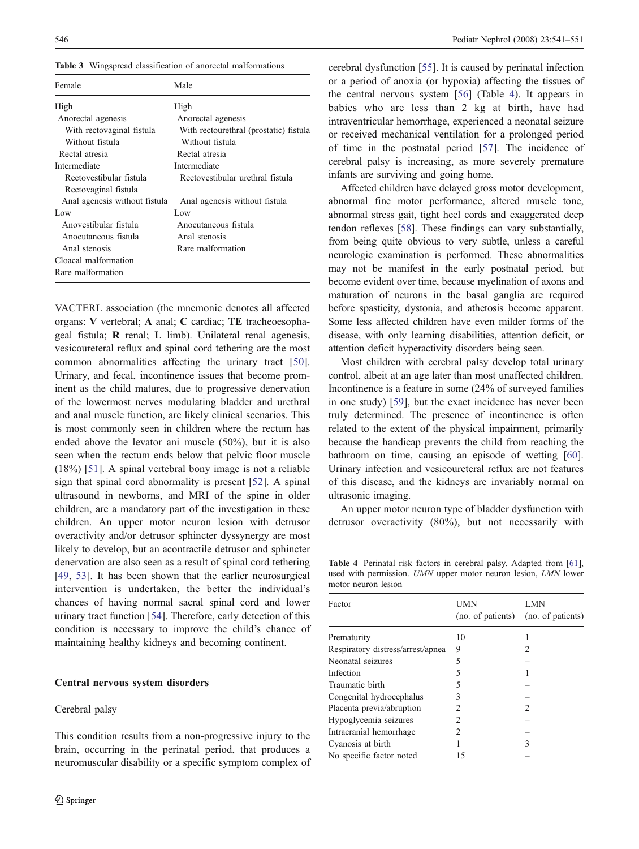| Female                        | Male                                   |
|-------------------------------|----------------------------------------|
| High                          | High                                   |
| Anorectal agenesis            | Anorectal agenesis                     |
| With rectovaginal fistula     | With rectourethral (prostatic) fistula |
| Without fistula               | Without fistula                        |
| Rectal atresia                | Rectal atresia                         |
| Intermediate                  | Intermediate                           |
| Rectovestibular fistula       | Rectovestibular urethral fistula       |
| Rectovaginal fistula          |                                        |
| Anal agenesis without fistula | Anal agenesis without fistula          |
| Low                           | Low                                    |
| Anovestibular fistula         | Anocutaneous fistula                   |
| Anocutaneous fistula          | Anal stenosis                          |
| Anal stenosis                 | Rare malformation                      |
| Cloacal malformation          |                                        |
| Rare malformation             |                                        |

<span id="page-5-0"></span>Table 3 Wingspread classification of anorectal malformations

VACTERL association (the mnemonic denotes all affected organs: V vertebral; A anal; C cardiac; TE tracheoesophageal fistula; R renal; L limb). Unilateral renal agenesis, vesicoureteral reflux and spinal cord tethering are the most common abnormalities affecting the urinary tract [\[50](#page-9-0)]. Urinary, and fecal, incontinence issues that become prominent as the child matures, due to progressive denervation of the lowermost nerves modulating bladder and urethral and anal muscle function, are likely clinical scenarios. This is most commonly seen in children where the rectum has ended above the levator ani muscle (50%), but it is also seen when the rectum ends below that pelvic floor muscle (18%) [\[51](#page-9-0)]. A spinal vertebral bony image is not a reliable sign that spinal cord abnormality is present [\[52](#page-9-0)]. A spinal ultrasound in newborns, and MRI of the spine in older children, are a mandatory part of the investigation in these children. An upper motor neuron lesion with detrusor overactivity and/or detrusor sphincter dyssynergy are most likely to develop, but an acontractile detrusor and sphincter denervation are also seen as a result of spinal cord tethering [\[49](#page-9-0), [53\]](#page-9-0). It has been shown that the earlier neurosurgical intervention is undertaken, the better the individual's chances of having normal sacral spinal cord and lower urinary tract function [[54\]](#page-9-0). Therefore, early detection of this condition is necessary to improve the child's chance of maintaining healthy kidneys and becoming continent.

## Central nervous system disorders

#### Cerebral palsy

This condition results from a non-progressive injury to the brain, occurring in the perinatal period, that produces a neuromuscular disability or a specific symptom complex of cerebral dysfunction [\[55](#page-9-0)]. It is caused by perinatal infection or a period of anoxia (or hypoxia) affecting the tissues of the central nervous system [[56\]](#page-9-0) (Table 4). It appears in babies who are less than 2 kg at birth, have had intraventricular hemorrhage, experienced a neonatal seizure or received mechanical ventilation for a prolonged period of time in the postnatal period [[57\]](#page-9-0). The incidence of cerebral palsy is increasing, as more severely premature infants are surviving and going home.

Affected children have delayed gross motor development, abnormal fine motor performance, altered muscle tone, abnormal stress gait, tight heel cords and exaggerated deep tendon reflexes [[58\]](#page-9-0). These findings can vary substantially, from being quite obvious to very subtle, unless a careful neurologic examination is performed. These abnormalities may not be manifest in the early postnatal period, but become evident over time, because myelination of axons and maturation of neurons in the basal ganglia are required before spasticity, dystonia, and athetosis become apparent. Some less affected children have even milder forms of the disease, with only learning disabilities, attention deficit, or attention deficit hyperactivity disorders being seen.

Most children with cerebral palsy develop total urinary control, albeit at an age later than most unaffected children. Incontinence is a feature in some (24% of surveyed families in one study) [[59\]](#page-9-0), but the exact incidence has never been truly determined. The presence of incontinence is often related to the extent of the physical impairment, primarily because the handicap prevents the child from reaching the bathroom on time, causing an episode of wetting [[60\]](#page-10-0). Urinary infection and vesicoureteral reflux are not features of this disease, and the kidneys are invariably normal on ultrasonic imaging.

An upper motor neuron type of bladder dysfunction with detrusor overactivity (80%), but not necessarily with

Table 4 Perinatal risk factors in cerebral palsy. Adapted from [[61](#page-10-0)], used with permission. UMN upper motor neuron lesion, LMN lower motor neuron lesion

| Factor                            | UMN<br>(no. of patients) | LMN<br>(no. of patients) |
|-----------------------------------|--------------------------|--------------------------|
| Prematurity                       | 10                       |                          |
| Respiratory distress/arrest/apnea | 9                        | 2                        |
| Neonatal seizures                 | 5                        |                          |
| Infection                         | 5                        |                          |
| Traumatic birth                   | 5                        |                          |
| Congenital hydrocephalus          | 3                        |                          |
| Placenta previa/abruption         | 2                        | 2                        |
| Hypoglycemia seizures             | 2                        |                          |
| Intracranial hemorrhage           | 2                        |                          |
| Cyanosis at birth                 |                          |                          |
| No specific factor noted          | 15                       |                          |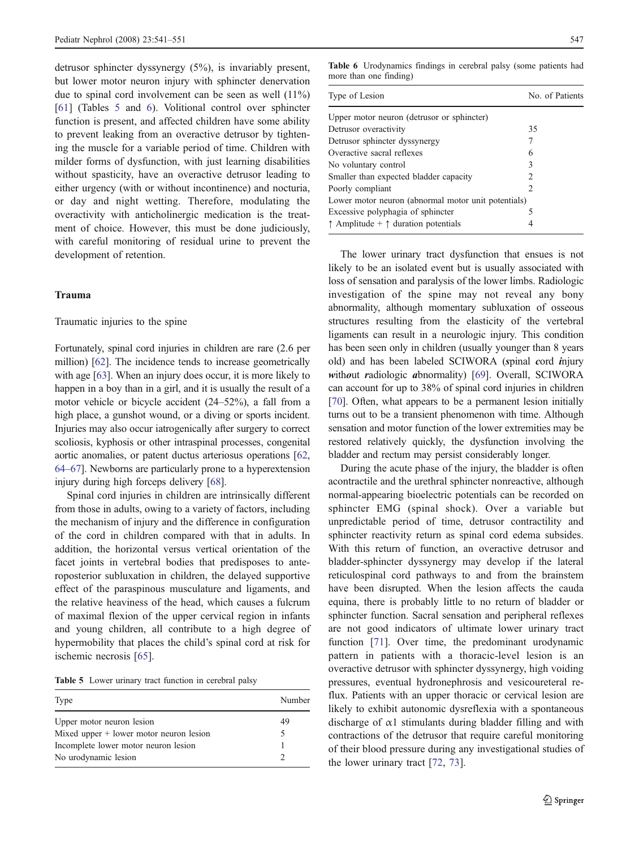detrusor sphincter dyssynergy (5%), is invariably present, but lower motor neuron injury with sphincter denervation due to spinal cord involvement can be seen as well (11%) [\[61](#page-10-0)] (Tables 5 and 6). Volitional control over sphincter function is present, and affected children have some ability to prevent leaking from an overactive detrusor by tightening the muscle for a variable period of time. Children with milder forms of dysfunction, with just learning disabilities without spasticity, have an overactive detrusor leading to either urgency (with or without incontinence) and nocturia, or day and night wetting. Therefore, modulating the overactivity with anticholinergic medication is the treatment of choice. However, this must be done judiciously, with careful monitoring of residual urine to prevent the development of retention.

# Trauma

## Traumatic injuries to the spine

Fortunately, spinal cord injuries in children are rare (2.6 per million) [[62](#page-10-0)]. The incidence tends to increase geometrically with age [\[63\]](#page-10-0). When an injury does occur, it is more likely to happen in a boy than in a girl, and it is usually the result of a motor vehicle or bicycle accident (24–52%), a fall from a high place, a gunshot wound, or a diving or sports incident. Injuries may also occur iatrogenically after surgery to correct scoliosis, kyphosis or other intraspinal processes, congenital aortic anomalies, or patent ductus arteriosus operations [[62,](#page-10-0) [64](#page-10-0)–[67](#page-10-0)]. Newborns are particularly prone to a hyperextension injury during high forceps delivery [\[68\]](#page-10-0).

Spinal cord injuries in children are intrinsically different from those in adults, owing to a variety of factors, including the mechanism of injury and the difference in configuration of the cord in children compared with that in adults. In addition, the horizontal versus vertical orientation of the facet joints in vertebral bodies that predisposes to anteroposterior subluxation in children, the delayed supportive effect of the paraspinous musculature and ligaments, and the relative heaviness of the head, which causes a fulcrum of maximal flexion of the upper cervical region in infants and young children, all contribute to a high degree of hypermobility that places the child's spinal cord at risk for ischemic necrosis [\[65](#page-10-0)].

Table 5 Lower urinary tract function in cerebral palsy

| Type                                      | Number |
|-------------------------------------------|--------|
| Upper motor neuron lesion                 | 49     |
| Mixed upper $+$ lower motor neuron lesion |        |
| Incomplete lower motor neuron lesion      |        |
| No urodynamic lesion                      |        |

Table 6 Urodynamics findings in cerebral palsy (some patients had more than one finding)

| Type of Lesion                                        | No. of Patients             |
|-------------------------------------------------------|-----------------------------|
| Upper motor neuron (detrusor or sphincter)            |                             |
| Detrusor overactivity                                 | 35                          |
| Detrusor sphincter dyssynergy                         | 7                           |
| Overactive sacral reflexes                            | 6                           |
| No voluntary control                                  | 3                           |
| Smaller than expected bladder capacity                | 2                           |
| Poorly compliant                                      | $\mathcal{D}_{\mathcal{L}}$ |
| Lower motor neuron (abnormal motor unit potentials)   |                             |
| Excessive polyphagia of sphincter                     | 5                           |
| $\uparrow$ Amplitude + $\uparrow$ duration potentials |                             |

The lower urinary tract dysfunction that ensues is not likely to be an isolated event but is usually associated with loss of sensation and paralysis of the lower limbs. Radiologic investigation of the spine may not reveal any bony abnormality, although momentary subluxation of osseous structures resulting from the elasticity of the vertebral ligaments can result in a neurologic injury. This condition has been seen only in children (usually younger than 8 years old) and has been labeled SCIWORA (spinal cord injury without radiologic abnormality) [[69\]](#page-10-0). Overall, SCIWORA can account for up to 38% of spinal cord injuries in children [\[70](#page-10-0)]. Often, what appears to be a permanent lesion initially turns out to be a transient phenomenon with time. Although sensation and motor function of the lower extremities may be restored relatively quickly, the dysfunction involving the bladder and rectum may persist considerably longer.

During the acute phase of the injury, the bladder is often acontractile and the urethral sphincter nonreactive, although normal-appearing bioelectric potentials can be recorded on sphincter EMG (spinal shock). Over a variable but unpredictable period of time, detrusor contractility and sphincter reactivity return as spinal cord edema subsides. With this return of function, an overactive detrusor and bladder-sphincter dyssynergy may develop if the lateral reticulospinal cord pathways to and from the brainstem have been disrupted. When the lesion affects the cauda equina, there is probably little to no return of bladder or sphincter function. Sacral sensation and peripheral reflexes are not good indicators of ultimate lower urinary tract function [\[71](#page-10-0)]. Over time, the predominant urodynamic pattern in patients with a thoracic-level lesion is an overactive detrusor with sphincter dyssynergy, high voiding pressures, eventual hydronephrosis and vesicoureteral reflux. Patients with an upper thoracic or cervical lesion are likely to exhibit autonomic dysreflexia with a spontaneous discharge of  $\alpha$ 1 stimulants during bladder filling and with contractions of the detrusor that require careful monitoring of their blood pressure during any investigational studies of the lower urinary tract [[72,](#page-10-0) [73\]](#page-10-0).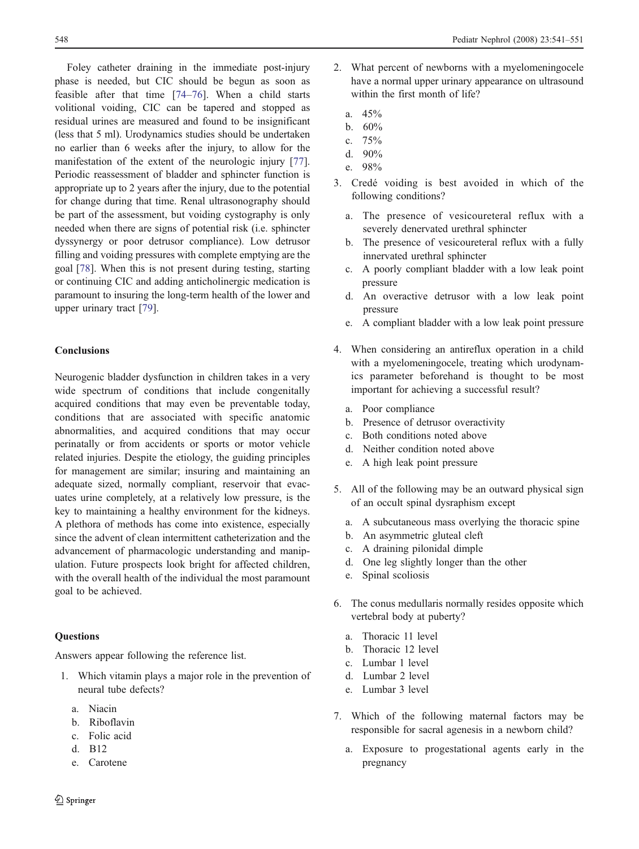Foley catheter draining in the immediate post-injury phase is needed, but CIC should be begun as soon as feasible after that time [[74](#page-10-0)–[76\]](#page-10-0). When a child starts volitional voiding, CIC can be tapered and stopped as residual urines are measured and found to be insignificant (less that 5 ml). Urodynamics studies should be undertaken no earlier than 6 weeks after the injury, to allow for the manifestation of the extent of the neurologic injury [\[77](#page-10-0)]. Periodic reassessment of bladder and sphincter function is appropriate up to 2 years after the injury, due to the potential for change during that time. Renal ultrasonography should be part of the assessment, but voiding cystography is only needed when there are signs of potential risk (i.e. sphincter dyssynergy or poor detrusor compliance). Low detrusor filling and voiding pressures with complete emptying are the goal [\[78](#page-10-0)]. When this is not present during testing, starting or continuing CIC and adding anticholinergic medication is paramount to insuring the long-term health of the lower and upper urinary tract [[79\]](#page-10-0).

# **Conclusions**

Neurogenic bladder dysfunction in children takes in a very wide spectrum of conditions that include congenitally acquired conditions that may even be preventable today, conditions that are associated with specific anatomic abnormalities, and acquired conditions that may occur perinatally or from accidents or sports or motor vehicle related injuries. Despite the etiology, the guiding principles for management are similar; insuring and maintaining an adequate sized, normally compliant, reservoir that evacuates urine completely, at a relatively low pressure, is the key to maintaining a healthy environment for the kidneys. A plethora of methods has come into existence, especially since the advent of clean intermittent catheterization and the advancement of pharmacologic understanding and manipulation. Future prospects look bright for affected children, with the overall health of the individual the most paramount goal to be achieved.

## **Questions**

Answers appear following the reference list.

- 1. Which vitamin plays a major role in the prevention of neural tube defects?
	- a. Niacin
	- b. Riboflavin
	- c. Folic acid
	- d. B12
	- e. Carotene
- 2. What percent of newborns with a myelomeningocele have a normal upper urinary appearance on ultrasound within the first month of life?
	- a.  $45%$
	- b. 60%
	- c. 75%
	- d. 90%
	- e. 98%
- 3. Credé voiding is best avoided in which of the following conditions?
	- a. The presence of vesicoureteral reflux with a severely denervated urethral sphincter
	- b. The presence of vesicoureteral reflux with a fully innervated urethral sphincter
	- c. A poorly compliant bladder with a low leak point pressure
	- d. An overactive detrusor with a low leak point pressure
	- e. A compliant bladder with a low leak point pressure
- 4. When considering an antireflux operation in a child with a myelomeningocele, treating which urodynamics parameter beforehand is thought to be most important for achieving a successful result?
	- a. Poor compliance
	- b. Presence of detrusor overactivity
	- c. Both conditions noted above
	- d. Neither condition noted above
	- e. A high leak point pressure
- 5. All of the following may be an outward physical sign of an occult spinal dysraphism except
	- a. A subcutaneous mass overlying the thoracic spine
	- b. An asymmetric gluteal cleft
	- c. A draining pilonidal dimple
	- d. One leg slightly longer than the other
	- e. Spinal scoliosis
- 6. The conus medullaris normally resides opposite which vertebral body at puberty?
	- a. Thoracic 11 level
	- b. Thoracic 12 level
	- c. Lumbar 1 level
	- d. Lumbar 2 level
	- e. Lumbar 3 level
- 7. Which of the following maternal factors may be responsible for sacral agenesis in a newborn child?
	- a. Exposure to progestational agents early in the pregnancy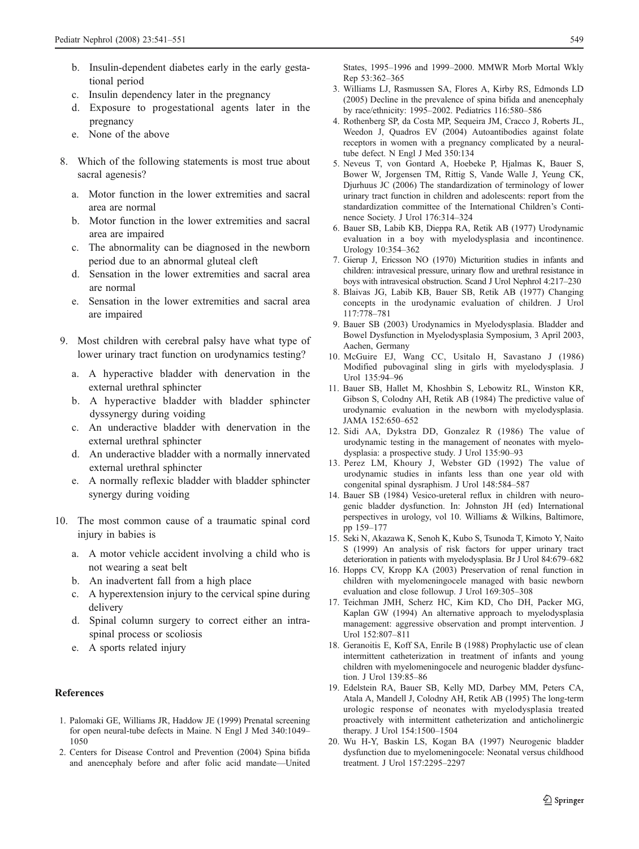- <span id="page-8-0"></span>b. Insulin-dependent diabetes early in the early gestational period
- c. Insulin dependency later in the pregnancy
- d. Exposure to progestational agents later in the pregnancy
- e. None of the above
- 8. Which of the following statements is most true about sacral agenesis?
	- a. Motor function in the lower extremities and sacral area are normal
	- b. Motor function in the lower extremities and sacral area are impaired
	- c. The abnormality can be diagnosed in the newborn period due to an abnormal gluteal cleft
	- d. Sensation in the lower extremities and sacral area are normal
	- e. Sensation in the lower extremities and sacral area are impaired
- 9. Most children with cerebral palsy have what type of lower urinary tract function on urodynamics testing?
	- a. A hyperactive bladder with denervation in the external urethral sphincter
	- b. A hyperactive bladder with bladder sphincter dyssynergy during voiding
	- c. An underactive bladder with denervation in the external urethral sphincter
	- d. An underactive bladder with a normally innervated external urethral sphincter
	- e. A normally reflexic bladder with bladder sphincter synergy during voiding
- 10. The most common cause of a traumatic spinal cord injury in babies is
	- a. A motor vehicle accident involving a child who is not wearing a seat belt
	- b. An inadvertent fall from a high place
	- c. A hyperextension injury to the cervical spine during delivery
	- d. Spinal column surgery to correct either an intraspinal process or scoliosis
	- e. A sports related injury

## References

- 1. Palomaki GE, Williams JR, Haddow JE (1999) Prenatal screening for open neural-tube defects in Maine. N Engl J Med 340:1049– 1050
- 2. Centers for Disease Control and Prevention (2004) Spina bifida and anencephaly before and after folic acid mandate—United

States, 1995–1996 and 1999–2000. MMWR Morb Mortal Wkly Rep 53:362–365

- 3. Williams LJ, Rasmussen SA, Flores A, Kirby RS, Edmonds LD (2005) Decline in the prevalence of spina bifida and anencephaly by race/ethnicity: 1995–2002. Pediatrics 116:580–586
- 4. Rothenberg SP, da Costa MP, Sequeira JM, Cracco J, Roberts JL, Weedon J, Quadros EV (2004) Autoantibodies against folate receptors in women with a pregnancy complicated by a neuraltube defect. N Engl J Med 350:134
- 5. Neveus T, von Gontard A, Hoebeke P, Hjalmas K, Bauer S, Bower W, Jorgensen TM, Rittig S, Vande Walle J, Yeung CK, Djurhuus JC (2006) The standardization of terminology of lower urinary tract function in children and adolescents: report from the standardization committee of the International Children's Continence Society. J Urol 176:314–324
- 6. Bauer SB, Labib KB, Dieppa RA, Retik AB (1977) Urodynamic evaluation in a boy with myelodysplasia and incontinence. Urology 10:354–362
- 7. Gierup J, Ericsson NO (1970) Micturition studies in infants and children: intravesical pressure, urinary flow and urethral resistance in boys with intravesical obstruction. Scand J Urol Nephrol 4:217–230
- 8. Blaivas JG, Labib KB, Bauer SB, Retik AB (1977) Changing concepts in the urodynamic evaluation of children. J Urol 117:778–781
- 9. Bauer SB (2003) Urodynamics in Myelodysplasia. Bladder and Bowel Dysfunction in Myelodysplasia Symposium, 3 April 2003, Aachen, Germany
- 10. McGuire EJ, Wang CC, Usitalo H, Savastano J (1986) Modified pubovaginal sling in girls with myelodysplasia. J Urol 135:94–96
- 11. Bauer SB, Hallet M, Khoshbin S, Lebowitz RL, Winston KR, Gibson S, Colodny AH, Retik AB (1984) The predictive value of urodynamic evaluation in the newborn with myelodysplasia. JAMA 152:650–652
- 12. Sidi AA, Dykstra DD, Gonzalez R (1986) The value of urodynamic testing in the management of neonates with myelodysplasia: a prospective study. J Urol 135:90–93
- 13. Perez LM, Khoury J, Webster GD (1992) The value of urodynamic studies in infants less than one year old with congenital spinal dysraphism. J Urol 148:584–587
- 14. Bauer SB (1984) Vesico-ureteral reflux in children with neurogenic bladder dysfunction. In: Johnston JH (ed) International perspectives in urology, vol 10. Williams & Wilkins, Baltimore, pp 159–177
- 15. Seki N, Akazawa K, Senoh K, Kubo S, Tsunoda T, Kimoto Y, Naito S (1999) An analysis of risk factors for upper urinary tract deterioration in patients with myelodysplasia. Br J Urol 84:679–682
- 16. Hopps CV, Kropp KA (2003) Preservation of renal function in children with myelomeningocele managed with basic newborn evaluation and close followup. J Urol 169:305–308
- 17. Teichman JMH, Scherz HC, Kim KD, Cho DH, Packer MG, Kaplan GW (1994) An alternative approach to myelodysplasia management: aggressive observation and prompt intervention. J Urol 152:807–811
- 18. Geranoitis E, Koff SA, Enrile B (1988) Prophylactic use of clean intermittent catheterization in treatment of infants and young children with myelomeningocele and neurogenic bladder dysfunction. J Urol 139:85–86
- 19. Edelstein RA, Bauer SB, Kelly MD, Darbey MM, Peters CA, Atala A, Mandell J, Colodny AH, Retik AB (1995) The long-term urologic response of neonates with myelodysplasia treated proactively with intermittent catheterization and anticholinergic therapy. J Urol 154:1500–1504
- 20. Wu H-Y, Baskin LS, Kogan BA (1997) Neurogenic bladder dysfunction due to myelomeningocele: Neonatal versus childhood treatment. J Urol 157:2295–2297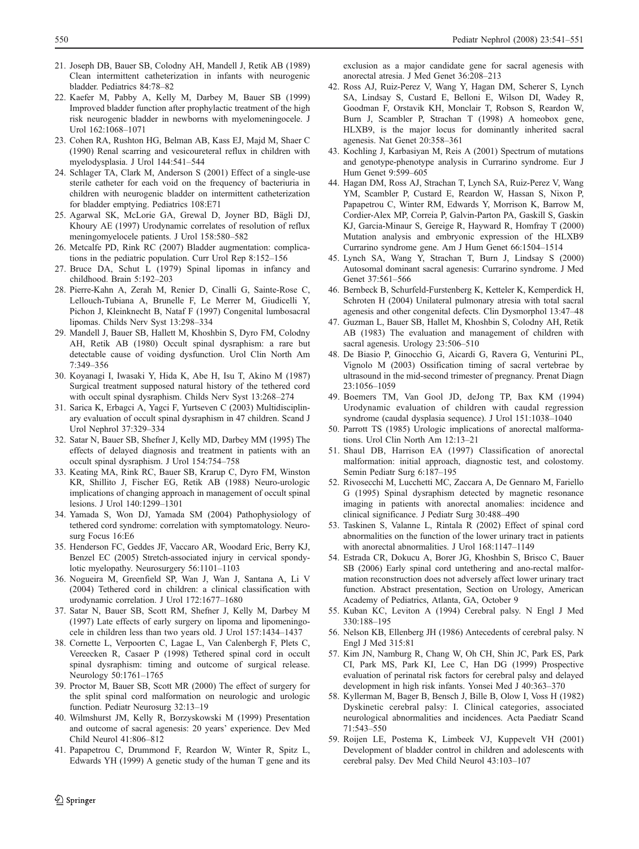- <span id="page-9-0"></span>21. Joseph DB, Bauer SB, Colodny AH, Mandell J, Retik AB (1989) Clean intermittent catheterization in infants with neurogenic bladder. Pediatrics 84:78–82
- 22. Kaefer M, Pabby A, Kelly M, Darbey M, Bauer SB (1999) Improved bladder function after prophylactic treatment of the high risk neurogenic bladder in newborns with myelomeningocele. J Urol 162:1068–1071
- 23. Cohen RA, Rushton HG, Belman AB, Kass EJ, Majd M, Shaer C (1990) Renal scarring and vesicoureteral reflux in children with myelodysplasia. J Urol 144:541–544
- 24. Schlager TA, Clark M, Anderson S (2001) Effect of a single-use sterile catheter for each void on the frequency of bacteriuria in children with neurogenic bladder on intermittent catheterization for bladder emptying. Pediatrics 108:E71
- 25. Agarwal SK, McLorie GA, Grewal D, Joyner BD, Bägli DJ, Khoury AE (1997) Urodynamic correlates of resolution of reflux meningomyelocele patients. J Urol 158:580–582
- 26. Metcalfe PD, Rink RC (2007) Bladder augmentation: complications in the pediatric population. Curr Urol Rep 8:152–156
- 27. Bruce DA, Schut L (1979) Spinal lipomas in infancy and childhood. Brain 5:192–203
- 28. Pierre-Kahn A, Zerah M, Renier D, Cinalli G, Sainte-Rose C, Lellouch-Tubiana A, Brunelle F, Le Merrer M, Giudicelli Y, Pichon J, Kleinknecht B, Nataf F (1997) Congenital lumbosacral lipomas. Childs Nerv Syst 13:298–334
- 29. Mandell J, Bauer SB, Hallett M, Khoshbin S, Dyro FM, Colodny AH, Retik AB (1980) Occult spinal dysraphism: a rare but detectable cause of voiding dysfunction. Urol Clin North Am 7:349–356
- 30. Koyanagi I, Iwasaki Y, Hida K, Abe H, Isu T, Akino M (1987) Surgical treatment supposed natural history of the tethered cord with occult spinal dysraphism. Childs Nerv Syst 13:268–274
- 31. Sarica K, Erbagci A, Yagci F, Yurtseven C (2003) Multidisciplinary evaluation of occult spinal dysraphism in 47 children. Scand J Urol Nephrol 37:329–334
- 32. Satar N, Bauer SB, Shefner J, Kelly MD, Darbey MM (1995) The effects of delayed diagnosis and treatment in patients with an occult spinal dysraphism. J Urol 154:754–758
- 33. Keating MA, Rink RC, Bauer SB, Krarup C, Dyro FM, Winston KR, Shillito J, Fischer EG, Retik AB (1988) Neuro-urologic implications of changing approach in management of occult spinal lesions. J Urol 140:1299–1301
- 34. Yamada S, Won DJ, Yamada SM (2004) Pathophysiology of tethered cord syndrome: correlation with symptomatology. Neurosurg Focus 16:E6
- 35. Henderson FC, Geddes JF, Vaccaro AR, Woodard Eric, Berry KJ, Benzel EC (2005) Stretch-associated injury in cervical spondylotic myelopathy. Neurosurgery 56:1101–1103
- 36. Nogueira M, Greenfield SP, Wan J, Wan J, Santana A, Li V (2004) Tethered cord in children: a clinical classification with urodynamic correlation. J Urol 172:1677–1680
- 37. Satar N, Bauer SB, Scott RM, Shefner J, Kelly M, Darbey M (1997) Late effects of early surgery on lipoma and lipomeningocele in children less than two years old. J Urol 157:1434–1437
- 38. Cornette L, Verpoorten C, Lagae L, Van Calenbergh F, Plets C, Vereecken R, Casaer P (1998) Tethered spinal cord in occult spinal dysraphism: timing and outcome of surgical release. Neurology 50:1761–1765
- 39. Proctor M, Bauer SB, Scott MR (2000) The effect of surgery for the split spinal cord malformation on neurologic and urologic function. Pediatr Neurosurg 32:13–19
- 40. Wilmshurst JM, Kelly R, Borzyskowski M (1999) Presentation and outcome of sacral agenesis: 20 years' experience. Dev Med Child Neurol 41:806–812
- 41. Papapetrou C, Drummond F, Reardon W, Winter R, Spitz L, Edwards YH (1999) A genetic study of the human T gene and its

exclusion as a major candidate gene for sacral agenesis with anorectal atresia. J Med Genet 36:208–213

- 42. Ross AJ, Ruiz-Perez V, Wang Y, Hagan DM, Scherer S, Lynch SA, Lindsay S, Custard E, Belloni E, Wilson DI, Wadey R, Goodman F, Orstavik KH, Monclair T, Robson S, Reardon W, Burn J, Scambler P, Strachan T (1998) A homeobox gene, HLXB9, is the major locus for dominantly inherited sacral agenesis. Nat Genet 20:358–361
- 43. Kochling J, Karbasiyan M, Reis A (2001) Spectrum of mutations and genotype-phenotype analysis in Currarino syndrome. Eur J Hum Genet 9:599–605
- 44. Hagan DM, Ross AJ, Strachan T, Lynch SA, Ruiz-Perez V, Wang YM, Scambler P, Custard E, Reardon W, Hassan S, Nixon P, Papapetrou C, Winter RM, Edwards Y, Morrison K, Barrow M, Cordier-Alex MP, Correia P, Galvin-Parton PA, Gaskill S, Gaskin KJ, Garcia-Minaur S, Gereige R, Hayward R, Homfray T (2000) Mutation analysis and embryonic expression of the HLXB9 Currarino syndrome gene. Am J Hum Genet 66:1504–1514
- 45. Lynch SA, Wang Y, Strachan T, Burn J, Lindsay S (2000) Autosomal dominant sacral agenesis: Currarino syndrome. J Med Genet 37:561–566
- 46. Bernbeck B, Schurfeld-Furstenberg K, Ketteler K, Kemperdick H, Schroten H (2004) Unilateral pulmonary atresia with total sacral agenesis and other congenital defects. Clin Dysmorphol 13:47–48
- 47. Guzman L, Bauer SB, Hallet M, Khoshbin S, Colodny AH, Retik AB (1983) The evaluation and management of children with sacral agenesis. Urology 23:506–510
- 48. De Biasio P, Ginocchio G, Aicardi G, Ravera G, Venturini PL, Vignolo M (2003) Ossification timing of sacral vertebrae by ultrasound in the mid-second trimester of pregnancy. Prenat Diagn 23:1056–1059
- 49. Boemers TM, Van Gool JD, deJong TP, Bax KM (1994) Urodynamic evaluation of children with caudal regression syndrome (caudal dysplasia sequence). J Urol 151:1038–1040
- 50. Parrott TS (1985) Urologic implications of anorectal malformations. Urol Clin North Am 12:13–21
- 51. Shaul DB, Harrison EA (1997) Classification of anorectal malformation: initial approach, diagnostic test, and colostomy. Semin Pediatr Surg 6:187–195
- 52. Rivosecchi M, Lucchetti MC, Zaccara A, De Gennaro M, Fariello G (1995) Spinal dysraphism detected by magnetic resonance imaging in patients with anorectal anomalies: incidence and clinical significance. J Pediatr Surg 30:488–490
- 53. Taskinen S, Valanne L, Rintala R (2002) Effect of spinal cord abnormalities on the function of the lower urinary tract in patients with anorectal abnormalities. J Urol 168:1147–1149
- 54. Estrada CR, Dokucu A, Borer JG, Khoshbin S, Brisco C, Bauer SB (2006) Early spinal cord untethering and ano-rectal malformation reconstruction does not adversely affect lower urinary tract function. Abstract presentation, Section on Urology, American Academy of Pediatrics, Atlanta, GA, October 9
- 55. Kuban KC, Leviton A (1994) Cerebral palsy. N Engl J Med 330:188–195
- 56. Nelson KB, Ellenberg JH (1986) Antecedents of cerebral palsy. N Engl J Med 315:81
- 57. Kim JN, Namburg R, Chang W, Oh CH, Shin JC, Park ES, Park CI, Park MS, Park KI, Lee C, Han DG (1999) Prospective evaluation of perinatal risk factors for cerebral palsy and delayed development in high risk infants. Yonsei Med J 40:363–370
- 58. Kyllerman M, Bager B, Bensch J, Bille B, Olow I, Voss H (1982) Dyskinetic cerebral palsy: I. Clinical categories, associated neurological abnormalities and incidences. Acta Paediatr Scand 71:543–550
- 59. Roijen LE, Postema K, Limbeek VJ, Kuppevelt VH (2001) Development of bladder control in children and adolescents with cerebral palsy. Dev Med Child Neurol 43:103–107